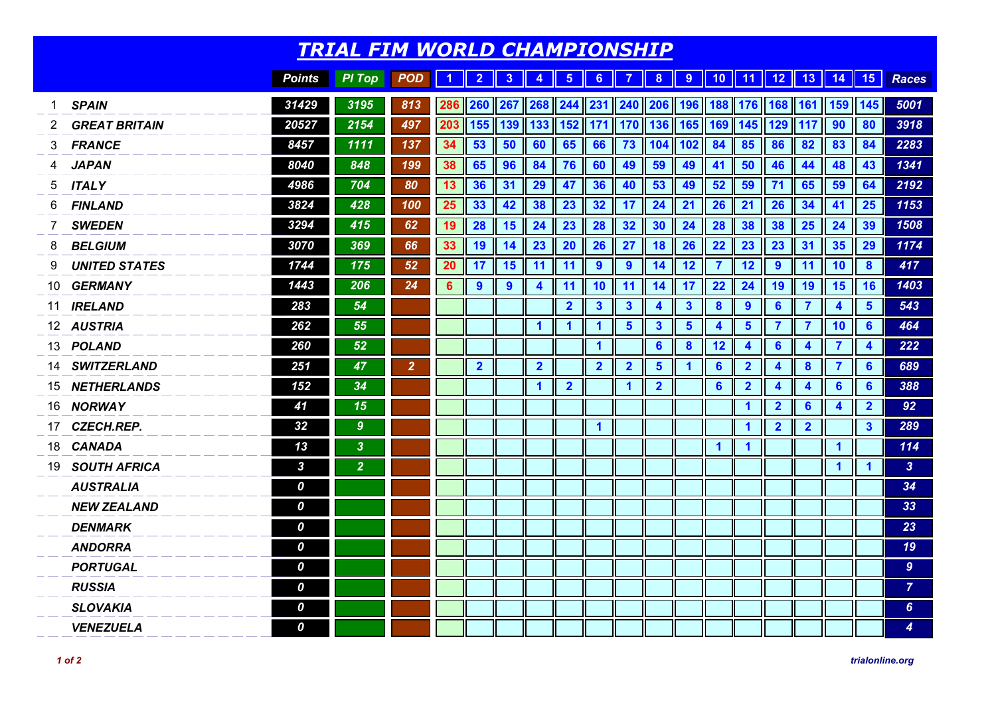|    | <b>TRIAL FIM WORLD CHAMPIONSHIP</b> |                  |                  |                |     |                         |                |                                                     |                         |                         |                         |                         |                         |                         |                         |                           |                         |                         |                         |                        |
|----|-------------------------------------|------------------|------------------|----------------|-----|-------------------------|----------------|-----------------------------------------------------|-------------------------|-------------------------|-------------------------|-------------------------|-------------------------|-------------------------|-------------------------|---------------------------|-------------------------|-------------------------|-------------------------|------------------------|
|    |                                     | <b>Points</b>    | <b>PI</b> Top    | <b>POD</b>     | 1   | $\overline{2}$          | 3              | 4                                                   | $\overline{\mathbf{5}}$ | 6 <sup>1</sup>          | $\overline{7}$          | 8                       |                         |                         |                         | 9    10    11    12    13 |                         | 14    15                |                         | <b>Races</b>           |
| 1  | <b>SPAIN</b>                        | 31429            | 3195             | 813            | 286 | 260                     |                | 267   268   244   231   240   206   196   188   176 |                         |                         |                         |                         |                         |                         |                         | 168                       |                         | 161 159 145             |                         | 5001                   |
| 2  | <b>GREAT BRITAIN</b>                | 20527            | 2154             | 497            | 203 | 155                     | 139            |                                                     | $133$   $152$           | 171                     | $\parallel$ 170         | 136 165 169             |                         |                         | 145                     | 129                       | 117                     | 90                      | 80                      | 3918                   |
| 3  | <b>FRANCE</b>                       | 8457             | 1111             | 137            | 34  | 53                      | 50             | 60                                                  | 65                      | 66                      | 73                      | 104 102                 |                         | 84                      | 85                      | 86                        | 82                      | 83                      | 84                      | 2283                   |
| 4  | <b>JAPAN</b>                        | 8040             | 848              | 199            | 38  | 65                      | 96             | 84                                                  | 76                      | 60                      | 49                      | 59                      | 49                      | 41                      | 50                      | 46                        | 44                      | 48                      | 43                      | 1341                   |
| 5  | <b>ITALY</b>                        | 4986             | 704              | 80             | 13  | 36                      | 31             | 29                                                  | 47                      | 36                      | 40                      | 53                      | 49                      | 52                      | 59                      | 71                        | 65                      | 59                      | 64                      | 2192                   |
| 6  | <b>FINLAND</b>                      | 3824             | 428              | 100            | 25  | 33                      | 42             | 38                                                  | 23                      | 32                      | 17                      | 24                      | 21                      | 26                      | 21                      | 26                        | 34                      | 41                      | 25                      | 1153                   |
| 7  | <b>SWEDEN</b>                       | 3294             | 415              | 62             | 19  | 28                      | 15             | 24                                                  | 23                      | 28                      | 32                      | 30                      | 24                      | 28                      | 38                      | 38                        | 25                      | 24                      | 39                      | 1508                   |
| 8  | <b>BELGIUM</b>                      | 3070             | 369              | 66             | 33  | 19                      | 14             | 23                                                  | <b>20</b>               | 26                      | 27                      | 18                      | 26                      | 22                      | 23                      | 23                        | 31                      | 35                      | 29                      | 1174                   |
| 9  | <b>UNITED STATES</b>                | 1744             | 175              | 52             | 20  | 17                      | 15             | 11                                                  | 11                      | 9                       | $\overline{9}$          | 14                      | 12                      | $\overline{7}$          | 12                      | 9                         | 11                      | 10                      | $\boldsymbol{8}$        | 417                    |
| 10 | <b>GERMANY</b>                      | 1443             | 206              | 24             | 6   | $\overline{9}$          | $\overline{9}$ | 4                                                   | 11                      | 10                      | 11                      | 14                      | 17                      | 22                      | 24                      | 19                        | 19                      | 15                      | 16                      | 1403                   |
| 11 | <b>IRELAND</b>                      | 283              | 54               |                |     |                         |                |                                                     | $\overline{2}$          | $\overline{\mathbf{3}}$ | $\overline{\mathbf{3}}$ | 4                       | $\overline{\mathbf{3}}$ | $\boldsymbol{8}$        | 9                       | $6\phantom{1}$            | $\overline{7}$          | $\overline{\mathbf{4}}$ | $5\phantom{1}$          | 543                    |
|    | 12 AUSTRIA                          | 262              | 55               |                |     |                         |                | $\blacktriangleleft$                                | $\blacktriangleleft$    | $\mathbf{1}$            | $5\phantom{1}$          | $\mathbf{3}$            | $5\phantom{1}$          | $\overline{\mathbf{4}}$ | $5\phantom{1}$          | $\overline{\mathbf{7}}$   | $\overline{7}$          | 10                      | $6\phantom{1}6$         | 464                    |
| 13 | <b>POLAND</b>                       | 260              | 52               |                |     |                         |                |                                                     |                         | $\mathbf{1}$            |                         | $6\phantom{1}$          | $\boldsymbol{8}$        | 12                      | $\overline{\mathbf{4}}$ | $6\phantom{1}$            | $\overline{\mathbf{4}}$ | $\overline{7}$          | $\boldsymbol{4}$        | 222                    |
| 14 | <b>SWITZERLAND</b>                  | 251              | 47               | $\overline{2}$ |     | $\overline{\mathbf{2}}$ |                | $\overline{2}$                                      |                         | $\overline{2}$          | $\overline{2}$          | $5\phantom{1}$          | 1                       | $6\phantom{1}$          | $\overline{\mathbf{2}}$ | $\overline{\mathbf{4}}$   | $\boldsymbol{8}$        | $\overline{7}$          | $6\phantom{1}6$         | 689                    |
| 15 | <b>NETHERLANDS</b>                  | 152              | 34               |                |     |                         |                | $\mathbf{1}$                                        | $\overline{\mathbf{2}}$ |                         | $\mathbf 1$             | $\overline{\mathbf{2}}$ |                         | $6\phantom{1}6$         | $\overline{\mathbf{2}}$ | $\blacktriangleleft$      | $\overline{\mathbf{4}}$ | $6\phantom{1}$          | $6\phantom{1}6$         | 388                    |
| 16 | <b>NORWAY</b>                       | 41               | 15               |                |     |                         |                |                                                     |                         |                         |                         |                         |                         |                         | $\blacktriangleleft$    | $\overline{\mathbf{2}}$   | $6\phantom{1}6$         | $\overline{\mathbf{4}}$ | $\overline{2}$          | 92                     |
| 17 | <b>CZECH.REP.</b>                   | 32               | $\boldsymbol{9}$ |                |     |                         |                |                                                     |                         | $\overline{\mathbf{1}}$ |                         |                         |                         |                         | $\overline{\mathbf{1}}$ | $\overline{\mathbf{2}}$   | $\overline{\mathbf{2}}$ |                         | $\overline{\mathbf{3}}$ | 289                    |
| 18 | <b>CANADA</b>                       | 13               | $\overline{3}$   |                |     |                         |                |                                                     |                         |                         |                         |                         |                         | $\blacktriangleleft$    | $\overline{\mathbf{1}}$ |                           |                         | $\blacktriangleleft$    |                         | 114                    |
| 19 | <b>SOUTH AFRICA</b>                 | $\boldsymbol{3}$ | $\overline{2}$   |                |     |                         |                |                                                     |                         |                         |                         |                         |                         |                         |                         |                           |                         | $\blacktriangleleft$    | $\blacktriangleleft$    | $\overline{3}$         |
|    | <b>AUSTRALIA</b>                    | $\boldsymbol{o}$ |                  |                |     |                         |                |                                                     |                         |                         |                         |                         |                         |                         |                         |                           |                         |                         |                         | 34                     |
|    | <b>NEW ZEALAND</b>                  | 0                |                  |                |     |                         |                |                                                     |                         |                         |                         |                         |                         |                         |                         |                           |                         |                         |                         | 33                     |
|    | <b>DENMARK</b>                      | 0                |                  |                |     |                         |                |                                                     |                         |                         |                         |                         |                         |                         |                         |                           |                         |                         |                         | 23                     |
|    | <b>ANDORRA</b>                      | 0                |                  |                |     |                         |                |                                                     |                         |                         |                         |                         |                         |                         |                         |                           |                         |                         |                         | 19                     |
|    | <b>PORTUGAL</b>                     | $\boldsymbol{o}$ |                  |                |     |                         |                |                                                     |                         |                         |                         |                         |                         |                         |                         |                           |                         |                         |                         | 9 <sup>°</sup>         |
|    | <b>RUSSIA</b>                       | 0                |                  |                |     |                         |                |                                                     |                         |                         |                         |                         |                         |                         |                         |                           |                         |                         |                         | $\overline{7}$         |
|    | <b>SLOVAKIA</b>                     | 0                |                  |                |     |                         |                |                                                     |                         |                         |                         |                         |                         |                         |                         |                           |                         |                         |                         | $6\phantom{a}$         |
|    | <b>VENEZUELA</b>                    | 0                |                  |                |     |                         |                |                                                     |                         |                         |                         |                         |                         |                         |                         |                           |                         |                         |                         | $\boldsymbol{\Lambda}$ |